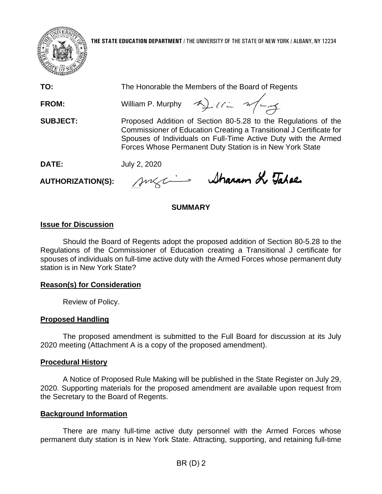

**THE STATE EDUCATION DEPARTMENT** / THE UNIVERSITY OF THE STATE OF NEW YORK / ALBANY, NY 12234

**TO:** The Honorable the Members of the Board of Regents

**FROM:** William P. Murphy  $\gamma$   $\rightarrow$   $\rightarrow$   $\rightarrow$   $\rightarrow$ 

**SUBJECT:** Proposed Addition of Section 80-5.28 to the Regulations of the Commissioner of Education Creating a Transitional J Certificate for Spouses of Individuals on Full-Time Active Duty with the Armed Forces Whose Permanent Duty Station is in New York State

**DATE:** July 2, 2020

**AUTHORIZATION(S):**

sugain Sharam & Tabae

## **SUMMARY**

# **Issue for Discussion**

Should the Board of Regents adopt the proposed addition of Section 80-5.28 to the Regulations of the Commissioner of Education creating a Transitional J certificate for spouses of individuals on full-time active duty with the Armed Forces whose permanent duty station is in New York State?

## **Reason(s) for Consideration**

Review of Policy.

## **Proposed Handling**

The proposed amendment is submitted to the Full Board for discussion at its July 2020 meeting (Attachment A is a copy of the proposed amendment).

## **Procedural History**

A Notice of Proposed Rule Making will be published in the State Register on July 29, 2020. Supporting materials for the proposed amendment are available upon request from the Secretary to the Board of Regents.

## **Background Information**

There are many full-time active duty personnel with the Armed Forces whose permanent duty station is in New York State. Attracting, supporting, and retaining full-time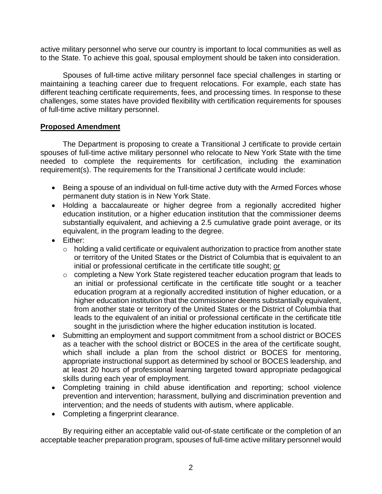active military personnel who serve our country is important to local communities as well as to the State. To achieve this goal, spousal employment should be taken into consideration.

Spouses of full-time active military personnel face special challenges in starting or maintaining a teaching career due to frequent relocations. For example, each state has different teaching certificate requirements, fees, and processing times. In response to these challenges, some states have provided flexibility with certification requirements for spouses of full-time active military personnel.

#### **Proposed Amendment**

The Department is proposing to create a Transitional J certificate to provide certain spouses of full-time active military personnel who relocate to New York State with the time needed to complete the requirements for certification, including the examination requirement(s). The requirements for the Transitional J certificate would include:

- Being a spouse of an individual on full-time active duty with the Armed Forces whose permanent duty station is in New York State.
- Holding a baccalaureate or higher degree from a regionally accredited higher education institution, or a higher education institution that the commissioner deems substantially equivalent, and achieving a 2.5 cumulative grade point average, or its equivalent, in the program leading to the degree.
- Either:
	- o holding a valid certificate or equivalent authorization to practice from another state or territory of the United States or the District of Columbia that is equivalent to an initial or professional certificate in the certificate title sought; or
	- o completing a New York State registered teacher education program that leads to an initial or professional certificate in the certificate title sought or a teacher education program at a regionally accredited institution of higher education, or a higher education institution that the commissioner deems substantially equivalent, from another state or territory of the United States or the District of Columbia that leads to the equivalent of an initial or professional certificate in the certificate title sought in the jurisdiction where the higher education institution is located.
- Submitting an employment and support commitment from a school district or BOCES as a teacher with the school district or BOCES in the area of the certificate sought, which shall include a plan from the school district or BOCES for mentoring, appropriate instructional support as determined by school or BOCES leadership, and at least 20 hours of professional learning targeted toward appropriate pedagogical skills during each year of employment.
- Completing training in child abuse identification and reporting; school violence prevention and intervention; harassment, bullying and discrimination prevention and intervention; and the needs of students with autism, where applicable.
- Completing a fingerprint clearance.

By requiring either an acceptable valid out-of-state certificate or the completion of an acceptable teacher preparation program, spouses of full-time active military personnel would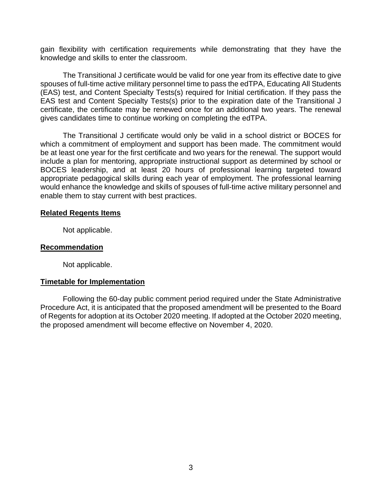gain flexibility with certification requirements while demonstrating that they have the knowledge and skills to enter the classroom.

The Transitional J certificate would be valid for one year from its effective date to give spouses of full-time active military personnel time to pass the edTPA, Educating All Students (EAS) test, and Content Specialty Tests(s) required for Initial certification. If they pass the EAS test and Content Specialty Tests(s) prior to the expiration date of the Transitional J certificate, the certificate may be renewed once for an additional two years. The renewal gives candidates time to continue working on completing the edTPA.

The Transitional J certificate would only be valid in a school district or BOCES for which a commitment of employment and support has been made. The commitment would be at least one year for the first certificate and two years for the renewal. The support would include a plan for mentoring, appropriate instructional support as determined by school or BOCES leadership, and at least 20 hours of professional learning targeted toward appropriate pedagogical skills during each year of employment. The professional learning would enhance the knowledge and skills of spouses of full-time active military personnel and enable them to stay current with best practices.

#### **Related Regents Items**

Not applicable.

#### **Recommendation**

Not applicable.

### **Timetable for Implementation**

Following the 60-day public comment period required under the State Administrative Procedure Act, it is anticipated that the proposed amendment will be presented to the Board of Regents for adoption at its October 2020 meeting. If adopted at the October 2020 meeting, the proposed amendment will become effective on November 4, 2020.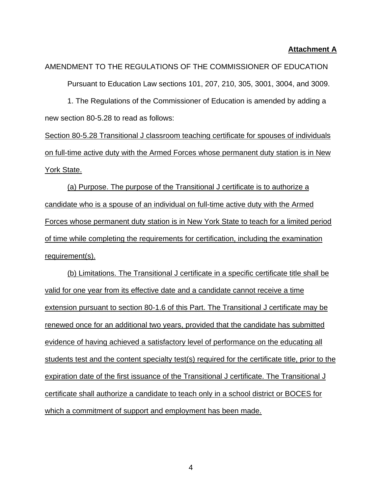#### **Attachment A**

AMENDMENT TO THE REGULATIONS OF THE COMMISSIONER OF EDUCATION Pursuant to Education Law sections 101, 207, 210, 305, 3001, 3004, and 3009.

1. The Regulations of the Commissioner of Education is amended by adding a new section 80-5.28 to read as follows:

Section 80-5.28 Transitional J classroom teaching certificate for spouses of individuals on full-time active duty with the Armed Forces whose permanent duty station is in New York State.

(a) Purpose. The purpose of the Transitional J certificate is to authorize a candidate who is a spouse of an individual on full-time active duty with the Armed Forces whose permanent duty station is in New York State to teach for a limited period of time while completing the requirements for certification, including the examination requirement(s).

(b) Limitations. The Transitional J certificate in a specific certificate title shall be valid for one year from its effective date and a candidate cannot receive a time extension pursuant to section 80-1.6 of this Part. The Transitional J certificate may be renewed once for an additional two years, provided that the candidate has submitted evidence of having achieved a satisfactory level of performance on the educating all students test and the content specialty test(s) required for the certificate title, prior to the expiration date of the first issuance of the Transitional J certificate. The Transitional J certificate shall authorize a candidate to teach only in a school district or BOCES for which a commitment of support and employment has been made.

4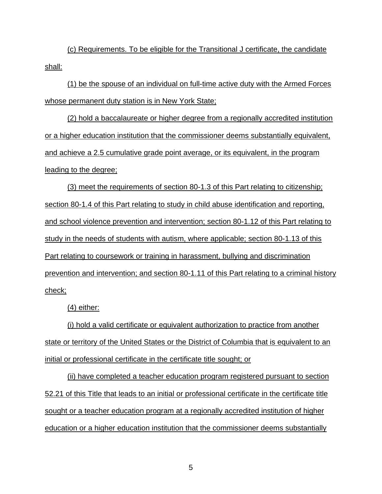(c) Requirements. To be eligible for the Transitional J certificate, the candidate shall:

(1) be the spouse of an individual on full-time active duty with the Armed Forces whose permanent duty station is in New York State;

(2) hold a baccalaureate or higher degree from a regionally accredited institution or a higher education institution that the commissioner deems substantially equivalent, and achieve a 2.5 cumulative grade point average, or its equivalent, in the program leading to the degree;

(3) meet the requirements of section 80-1.3 of this Part relating to citizenship; section 80-1.4 of this Part relating to study in child abuse identification and reporting, and school violence prevention and intervention; section 80-1.12 of this Part relating to study in the needs of students with autism, where applicable; section 80-1.13 of this Part relating to coursework or training in harassment, bullying and discrimination prevention and intervention; and section 80-1.11 of this Part relating to a criminal history check;

(4) either:

(i) hold a valid certificate or equivalent authorization to practice from another state or territory of the United States or the District of Columbia that is equivalent to an initial or professional certificate in the certificate title sought; or

(ii) have completed a teacher education program registered pursuant to section 52.21 of this Title that leads to an initial or professional certificate in the certificate title sought or a teacher education program at a regionally accredited institution of higher education or a higher education institution that the commissioner deems substantially